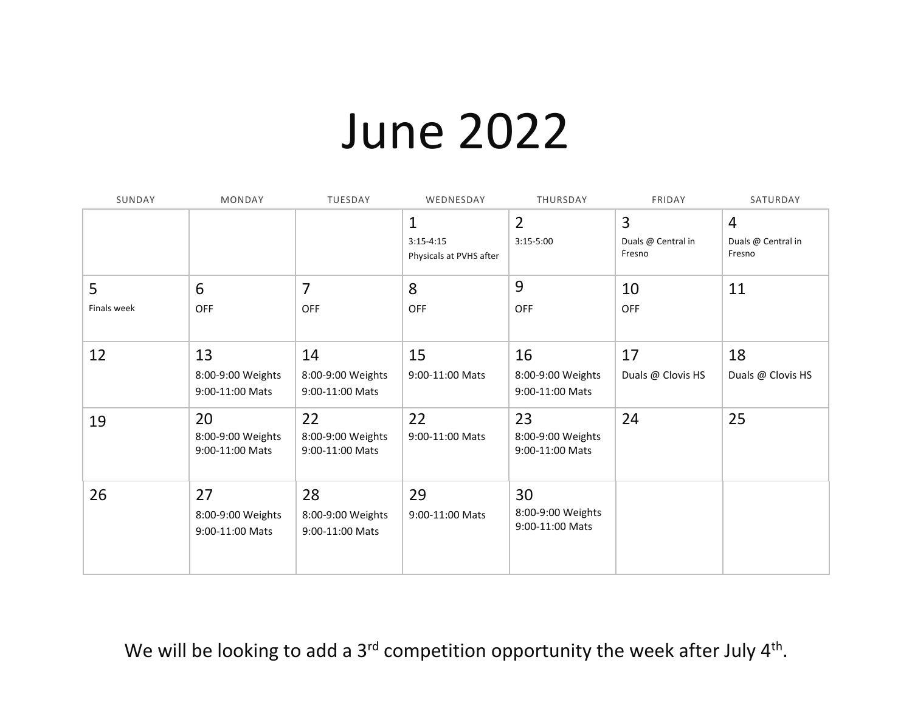## June 2022

| SUNDAY      | MONDAY                                     | TUESDAY                                    | WEDNESDAY                                | THURSDAY                                   | FRIDAY                       | SATURDAY                     |
|-------------|--------------------------------------------|--------------------------------------------|------------------------------------------|--------------------------------------------|------------------------------|------------------------------|
|             |                                            |                                            | 1                                        | $\overline{2}$                             | 3                            | $\overline{4}$               |
|             |                                            |                                            | $3:15 - 4:15$<br>Physicals at PVHS after | $3:15-5:00$                                | Duals @ Central in<br>Fresno | Duals @ Central in<br>Fresno |
| 5           | 6                                          | $\overline{7}$                             | 8                                        | 9                                          | 10                           | 11                           |
| Finals week | OFF                                        | <b>OFF</b>                                 | <b>OFF</b>                               | <b>OFF</b>                                 | OFF                          |                              |
| 12          | 13                                         | 14                                         | 15                                       | 16                                         | 17                           | 18                           |
|             | 8:00-9:00 Weights<br>9:00-11:00 Mats       | 8:00-9:00 Weights<br>9:00-11:00 Mats       | 9:00-11:00 Mats                          | 8:00-9:00 Weights<br>9:00-11:00 Mats       | Duals @ Clovis HS            | Duals @ Clovis HS            |
| 19          | 20<br>8:00-9:00 Weights<br>9:00-11:00 Mats | 22<br>8:00-9:00 Weights<br>9:00-11:00 Mats | 22<br>9:00-11:00 Mats                    | 23<br>8:00-9:00 Weights<br>9:00-11:00 Mats | 24                           | 25                           |
| 26          | 27<br>8:00-9:00 Weights<br>9:00-11:00 Mats | 28<br>8:00-9:00 Weights<br>9:00-11:00 Mats | 29<br>9:00-11:00 Mats                    | 30<br>8:00-9:00 Weights<br>9:00-11:00 Mats |                              |                              |

We will be looking to add a 3<sup>rd</sup> competition opportunity the week after July 4<sup>th</sup>.